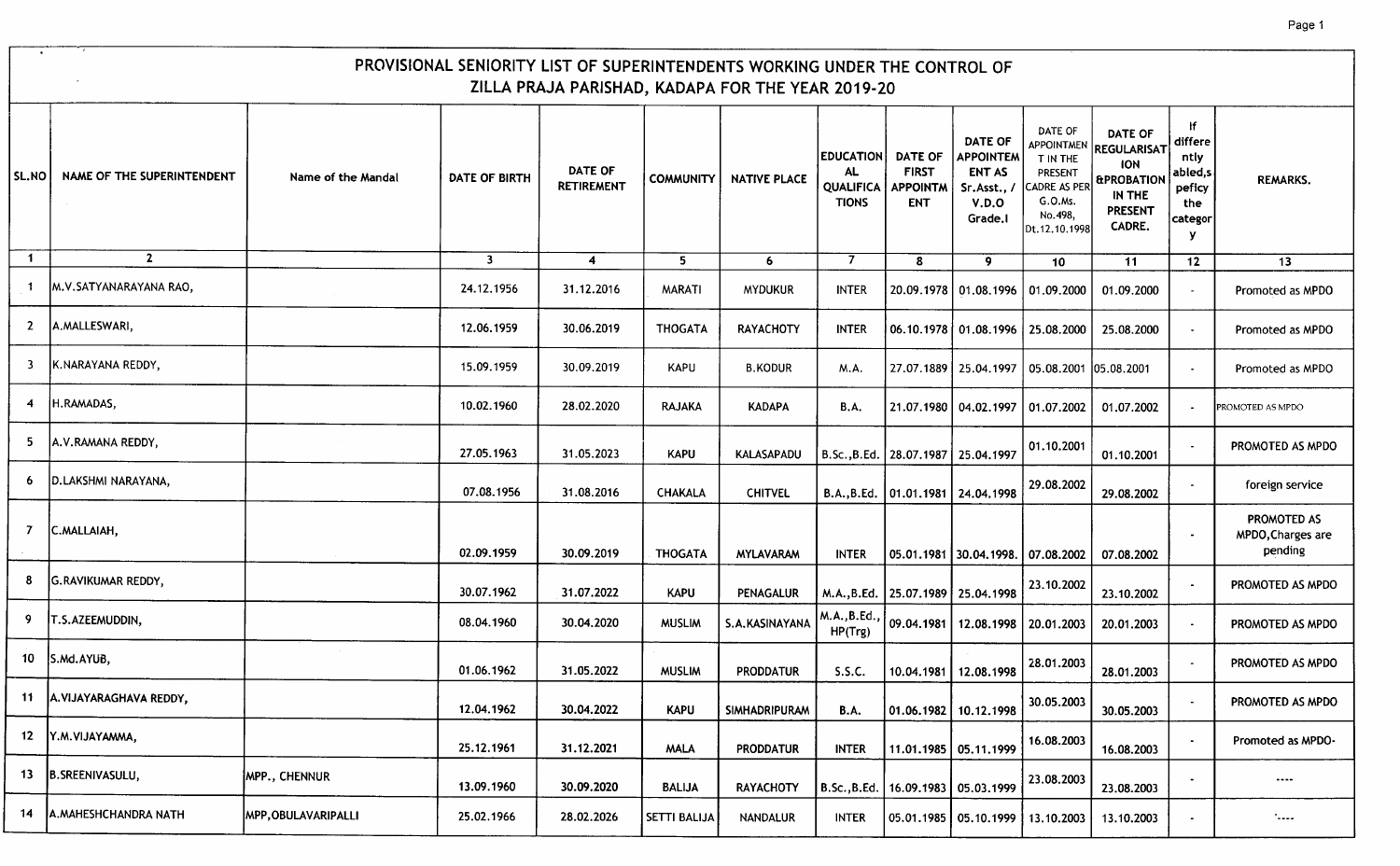|              | PROVISIONAL SENIORITY LIST OF SUPERINTENDENTS WORKING UNDER THE CONTROL OF<br>ZILLA PRAJA PARISHAD, KADAPA FOR THE YEAR 2019-20 |                     |               |                                     |                     |                      |                                                            |                                                          |                                                                               |                                                                                                           |                                                                                                            |                                                                   |                                             |  |
|--------------|---------------------------------------------------------------------------------------------------------------------------------|---------------------|---------------|-------------------------------------|---------------------|----------------------|------------------------------------------------------------|----------------------------------------------------------|-------------------------------------------------------------------------------|-----------------------------------------------------------------------------------------------------------|------------------------------------------------------------------------------------------------------------|-------------------------------------------------------------------|---------------------------------------------|--|
| SL.NO        | NAME OF THE SUPERINTENDENT                                                                                                      | Name of the Mandal  | DATE OF BIRTH | <b>DATE OF</b><br><b>RETIREMENT</b> | <b>COMMUNITY</b>    | <b>NATIVE PLACE</b>  | <b>EDUCATION</b><br>AL<br><b>QUALIFICA</b><br><b>TIONS</b> | <b>DATE OF</b><br><b>FIRST</b><br>APPOINTM<br><b>ENT</b> | DATE OF<br><b>APPOINTEM</b><br><b>ENT AS</b><br>Sr.Asst.,<br>V.D.O<br>Grade.I | DATE OF<br><b>APPOINTMEN</b><br>T IN THE<br>PRESENT<br>ADRE AS PER<br>G.O.Ms.<br>No.498,<br>Dt.12.10.1998 | <b>DATE OF</b><br>REGULARISAT<br><b>ION</b><br><b>&amp;PROBATION</b><br>IN THE<br><b>PRESENT</b><br>CADRE. | ١f<br>differe<br>ntly<br>abled,s<br>peficy<br>the<br>categor<br>у | <b>REMARKS.</b>                             |  |
| $\mathbf{1}$ | $\overline{2}$                                                                                                                  |                     | $\mathbf{3}$  | $\overline{\mathbf{4}}$             | 5.                  | 6                    | 7                                                          | 8                                                        | 9                                                                             | 10                                                                                                        | 11                                                                                                         | 12                                                                | 13                                          |  |
|              | M.V.SATYANARAYANA RAO,                                                                                                          |                     | 24.12.1956    | 31.12.2016                          | MARATI              | <b>MYDUKUR</b>       | <b>INTER</b>                                               |                                                          | 20.09.1978   01.08.1996                                                       | 01.09.2000                                                                                                | 01.09.2000                                                                                                 |                                                                   | Promoted as MPDO                            |  |
| 2            | A.MALLESWARI,                                                                                                                   |                     | 12.06.1959    | 30.06.2019                          | <b>THOGATA</b>      | <b>RAYACHOTY</b>     | <b>INTER</b>                                               |                                                          | 06.10.1978   01.08.1996   25.08.2000                                          |                                                                                                           | 25.08.2000                                                                                                 | $\overline{\phantom{a}}$                                          | Promoted as MPDO                            |  |
|              | K.NARAYANA REDDY,                                                                                                               |                     | 15.09.1959    | 30.09.2019                          | KAPU                | <b>B.KODUR</b>       | M.A.                                                       |                                                          | 27.07.1889 25.04.1997                                                         | 05.08.2001 05.08.2001                                                                                     |                                                                                                            | $\sim$                                                            | Promoted as MPDO                            |  |
|              | H.RAMADAS,                                                                                                                      |                     | 10.02.1960    | 28.02.2020                          | <b>RAJAKA</b>       | <b>KADAPA</b>        | <b>B.A.</b>                                                |                                                          | 21.07.1980   04.02.1997   01.07.2002                                          |                                                                                                           | 01.07.2002                                                                                                 |                                                                   | PROMOTED AS MPDO                            |  |
| 5.           | A.V.RAMANA REDDY,                                                                                                               |                     | 27.05.1963    | 31.05.2023                          | <b>KAPU</b>         | <b>KALASAPADU</b>    | B.Sc., B.Ed.   28.07.1987   25.04.1997                     |                                                          |                                                                               | 01.10.2001                                                                                                | 01.10.2001                                                                                                 |                                                                   | PROMOTED AS MPDO                            |  |
|              | D.LAKSHMI NARAYANA,                                                                                                             |                     | 07.08.1956    | 31.08.2016                          | <b>CHAKALA</b>      | <b>CHITVEL</b>       |                                                            | B.A., B.Ed.   01.01.1981   24.04.1998                    |                                                                               | 29.08.2002                                                                                                | 29.08.2002                                                                                                 |                                                                   | foreign service                             |  |
|              | C.MALLAIAH,                                                                                                                     |                     | 02.09.1959    | 30.09.2019                          | <b>THOGATA</b>      | <b>MYLAVARAM</b>     | <b>INTER</b>                                               |                                                          | 05.01.1981   30.04.1998.   07.08.2002                                         |                                                                                                           | 07.08.2002                                                                                                 |                                                                   | PROMOTED AS<br>MPDO, Charges are<br>pending |  |
|              | <b>G.RAVIKUMAR REDDY,</b>                                                                                                       |                     | 30.07.1962    | 31.07.2022                          | <b>KAPU</b>         | PENAGALUR            |                                                            | M.A., B.Ed.   25.07.1989   25.04.1998                    |                                                                               | 23.10.2002                                                                                                | 23.10.2002                                                                                                 |                                                                   | PROMOTED AS MPDO                            |  |
| -9           | T.S.AZEEMUDDIN,                                                                                                                 |                     | 08.04.1960    | 30.04.2020                          | <b>MUSLIM</b>       | S.A.KASINAYANA       | M.A., B.Ed.,<br>HP(Trg)                                    |                                                          | 09.04.1981   12.08.1998   20.01.2003                                          |                                                                                                           | 20.01.2003                                                                                                 |                                                                   | PROMOTED AS MPDO                            |  |
|              | 10 S.Md.AYUB,                                                                                                                   |                     | 01.06.1962    | 31.05.2022                          | <b>MUSLIM</b>       | <b>PRODDATUR</b>     | S.S.C.                                                     | 10.04.1981                                               | 12.08.1998                                                                    | 28.01.2003                                                                                                | 28.01.2003                                                                                                 |                                                                   | PROMOTED AS MPDO                            |  |
|              | 11 A.VIJAYARAGHAVA REDDY,                                                                                                       |                     | 12.04.1962    | 30.04.2022                          | <b>KAPU</b>         | <b>SIMHADRIPURAM</b> | <b>B.A.</b>                                                | 01.06.1982 10.12.1998                                    |                                                                               | 30.05.2003                                                                                                | 30.05.2003                                                                                                 |                                                                   | PROMOTED AS MPDO                            |  |
|              | 12   Y.M. VIJAYAMMA,                                                                                                            |                     | 25.12.1961    | 31.12.2021                          | <b>MALA</b>         | <b>PRODDATUR</b>     | <b>INTER</b>                                               | 11.01.1985   05.11.1999                                  |                                                                               | 16.08.2003                                                                                                | 16.08.2003                                                                                                 |                                                                   | Promoted as MPDO-                           |  |
| 13           | B.SREENIVASULU,                                                                                                                 | MPP., CHENNUR       | 13.09.1960    | 30.09.2020                          | <b>BALIJA</b>       | <b>RAYACHOTY</b>     | B.Sc., B.Ed.   16.09.1983   05.03.1999                     |                                                          |                                                                               | 23.08.2003                                                                                                | 23.08.2003                                                                                                 |                                                                   | $\cdots$                                    |  |
| 14           | A.MAHESHCHANDRA NATH                                                                                                            | MPP, OBULAVARIPALLI | 25.02.1966    | 28.02.2026                          | <b>SETTI BALIJA</b> | NANDALUR             | <b>INTER</b>                                               |                                                          | 05.01.1985   05.10.1999   13.10.2003                                          |                                                                                                           | 13.10.2003                                                                                                 |                                                                   | $\sim$                                      |  |

Г - 7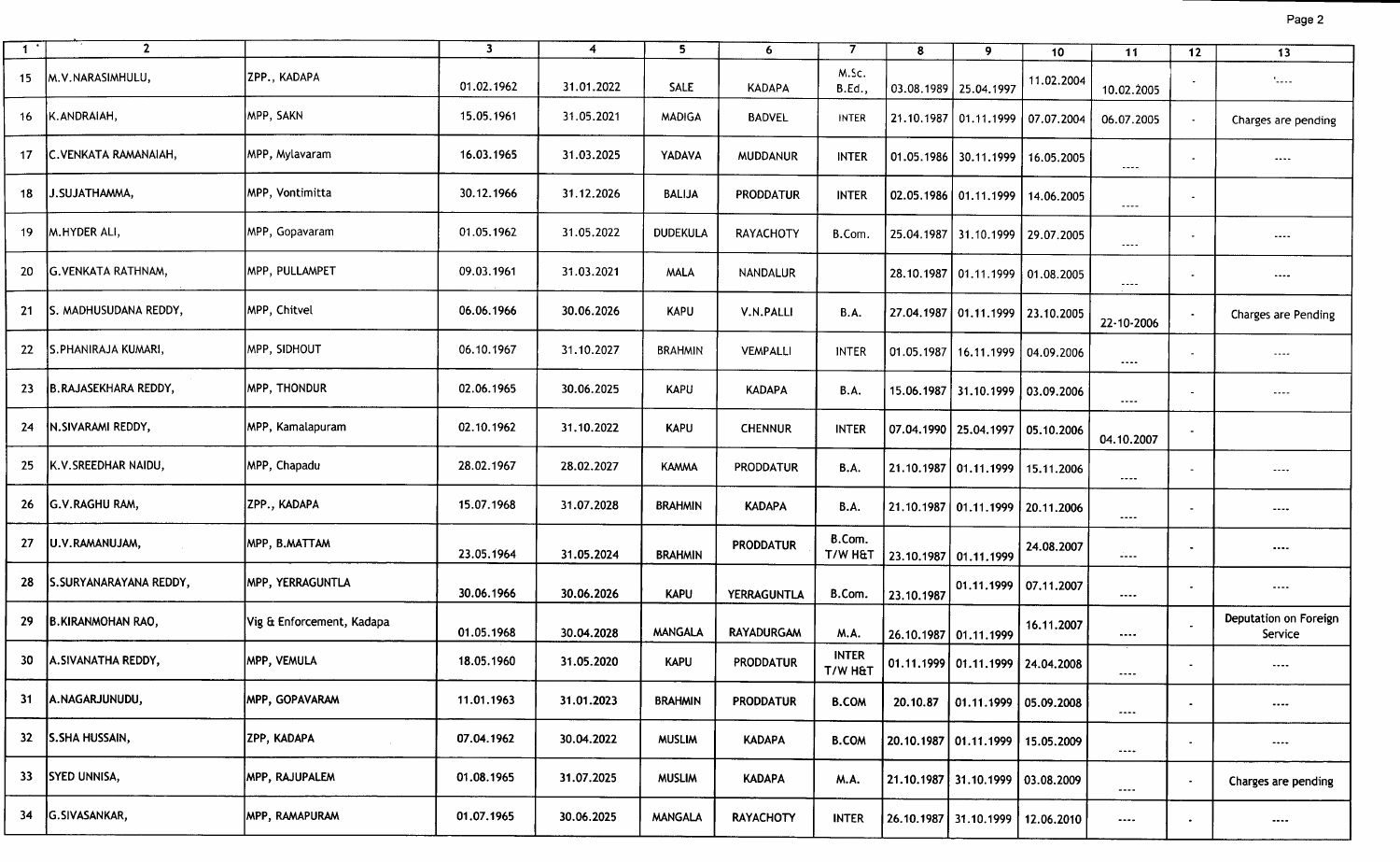|--|--|

| $\mathbf{1}$ | $\overline{2}$         |                           | $\overline{\mathbf{3}}$ | $\overline{4}$ | 5               | 6 <sup>1</sup>    | 7                       | 8                     | 9                                     | 10         | 11                   | 12                       | 13                               |
|--------------|------------------------|---------------------------|-------------------------|----------------|-----------------|-------------------|-------------------------|-----------------------|---------------------------------------|------------|----------------------|--------------------------|----------------------------------|
| 15           | M.V.NARASIMHULU,       | ZPP., KADAPA              | 01.02.1962              | 31.01.2022     | SALE            | <b>KADAPA</b>     | M.Sc.<br><b>B.Ed.,</b>  |                       | 03.08.1989 25.04.1997                 | 11.02.2004 | 10.02.2005           |                          | $\mathcal{L}_{\text{max}}$       |
| 16           | K.ANDRAIAH,            | MPP, SAKN                 | 15.05.1961              | 31.05.2021     | <b>MADIGA</b>   | <b>BADVEL</b>     | <b>INTER</b>            |                       | 21.10.1987 01.11.1999                 | 07.07.2004 | 06.07.2005           |                          | Charges are pending              |
| 17           | C.VENKATA RAMANAIAH,   | MPP, Mylavaram            | 16.03.1965              | 31.03.2025     | YADAVA          | <b>MUDDANUR</b>   | <b>INTER</b>            |                       | 01.05.1986 30.11.1999                 | 16.05.2005 | ----                 | $\overline{\phantom{a}}$ | $\cdots$                         |
| 18           | J.SUJATHAMMA,          | MPP, Vontimitta           | 30.12.1966              | 31.12.2026     | <b>BALIJA</b>   | <b>PRODDATUR</b>  | <b>INTER</b>            |                       | 02.05.1986 01.11.1999                 | 14.06.2005 | $\cdots$             |                          |                                  |
| 19           | M.HYDER ALI,           | MPP, Gopavaram            | 01.05.1962              | 31.05.2022     | <b>DUDEKULA</b> | RAYACHOTY         | B.Com.                  |                       | 25.04.1987 31.10.1999                 | 29.07.2005 | $\sim$ $\sim$ $\sim$ |                          | $\cdots$                         |
| 20           | G.VENKATA RATHNAM,     | MPP, PULLAMPET            | 09.03.1961              | 31.03.2021     | <b>MALA</b>     | NANDALUR          |                         |                       | 28.10.1987   01.11.1999   01.08.2005  |            | المشمط               |                          | $\cdots$                         |
| 21           | S. MADHUSUDANA REDDY,  | MPP, Chitvel              | 06.06.1966              | 30.06.2026     | <b>KAPU</b>     | V.N.PALLI         | <b>B.A.</b>             |                       | 27.04.1987   01.11.1999   23.10.2005  |            | 22-10-2006           |                          | <b>Charges are Pending</b>       |
| 22           | S.PHANIRAJA KUMARI,    | MPP, SIDHOUT              | 06.10.1967              | 31.10.2027     | <b>BRAHMIN</b>  | VEMPALLI          | <b>INTER</b>            |                       | 01.05.1987   16.11.1999               | 04.09.2006 | $\cdots$             |                          | $\cdots$                         |
| 23           | B.RAJASEKHARA REDDY,   | <b>MPP, THONDUR</b>       | 02.06.1965              | 30.06.2025     | <b>KAPU</b>     | <b>KADAPA</b>     | <b>B.A.</b>             |                       | 15.06.1987 31.10.1999 03.09.2006      |            | $\cdots$ .           |                          | $\cdots$                         |
| 24           | N.SIVARAMI REDDY,      | MPP, Kamalapuram          | 02.10.1962              | 31.10.2022     | <b>KAPU</b>     | <b>CHENNUR</b>    | <b>INTER</b>            |                       | 07.04.1990   25.04.1997               | 05.10.2006 | 04.10.2007           |                          |                                  |
| 25           | K.V.SREEDHAR NAIDU,    | MPP, Chapadu              | 28.02.1967              | 28.02.2027     | <b>KAMMA</b>    | PRODDATUR         | <b>B.A.</b>             |                       | 21.10.1987 01.11.1999                 | 15.11.2006 | $\cdots$             |                          | $\cdots$                         |
| 26           | <b>G.V.RAGHU RAM,</b>  | ZPP., KADAPA              | 15.07.1968              | 31.07.2028     | <b>BRAHMIN</b>  | <b>KADAPA</b>     | <b>B.A.</b>             |                       | 21.10.1987   01.11.1999   20.11.2006  |            | $\cdots$             |                          | $---$                            |
| 27           | U.V.RAMANUJAM,         | MPP, B.MATTAM             | 23.05.1964              | 31.05.2024     | <b>BRAHMIN</b>  | <b>PRODDATUR</b>  | B.Com.<br>T/W H&T       | 23.10.1987 01.11.1999 |                                       | 24.08.2007 | ----                 |                          | $\cdots$                         |
| 28           | S.SURYANARAYANA REDDY, | MPP, YERRAGUNTLA          | 30.06.1966              | 30.06.2026     | <b>KAPU</b>     | YERRAGUNTLA       | B.Com.                  | 23.10.1987            | 01.11.1999   07.11.2007               |            | $- - - -$            |                          | $\cdots$                         |
| 29           | B.KIRANMOHAN RAO,      | Vig & Enforcement, Kadapa | 01.05.1968              | 30.04.2028     | <b>MANGALA</b>  | <b>RAYADURGAM</b> | M.A.                    | 26.10.1987 01.11.1999 |                                       | 16.11.2007 | $\cdots$             |                          | Deputation on Foreign<br>Service |
| 30           | A.SIVANATHA REDDY,     | MPP, VEMULA               | 18.05.1960              | 31.05.2020     | <b>KAPU</b>     | <b>PRODDATUR</b>  | <b>INTER</b><br>T/W H&T |                       | 01.11.1999 01.11.1999 24.04.2008      |            | $\cdots$             |                          | $\cdots$                         |
| 31           | A.NAGARJUNUDU,         | <b>MPP, GOPAVARAM</b>     | 11.01.1963              | 31.01.2023     | <b>BRAHMIN</b>  | <b>PRODDATUR</b>  | <b>B.COM</b>            | 20.10.87              | $\vert$ 01.11.1999 $\vert$ 05.09.2008 |            | $\cdots$             |                          | $\cdots$                         |
|              | 32 S.SHA HUSSAIN,      | ZPP, KADAPA               | 07.04.1962              | 30.04.2022     | <b>MUSLIM</b>   | <b>KADAPA</b>     | <b>B.COM</b>            |                       | 20.10.1987   01.11.1999   15.05.2009  |            | $\cdots$             |                          | $$                               |
| 33           | <b>SYED UNNISA,</b>    | MPP, RAJUPALEM            | 01.08.1965              | 31.07.2025     | <b>MUSLIM</b>   | <b>KADAPA</b>     | <b>M.A.</b>             |                       | 21.10.1987 31.10.1999 03.08.2009      |            | ----                 |                          | Charges are pending              |
| 34           | G.SIVASANKAR,          | MPP, RAMAPURAM            | 01.07.1965              | 30.06.2025     | <b>MANGALA</b>  | <b>RAYACHOTY</b>  | <b>INTER</b>            |                       | 26.10.1987   31.10.1999   12.06.2010  |            | $\cdots$             |                          | $\cdots$                         |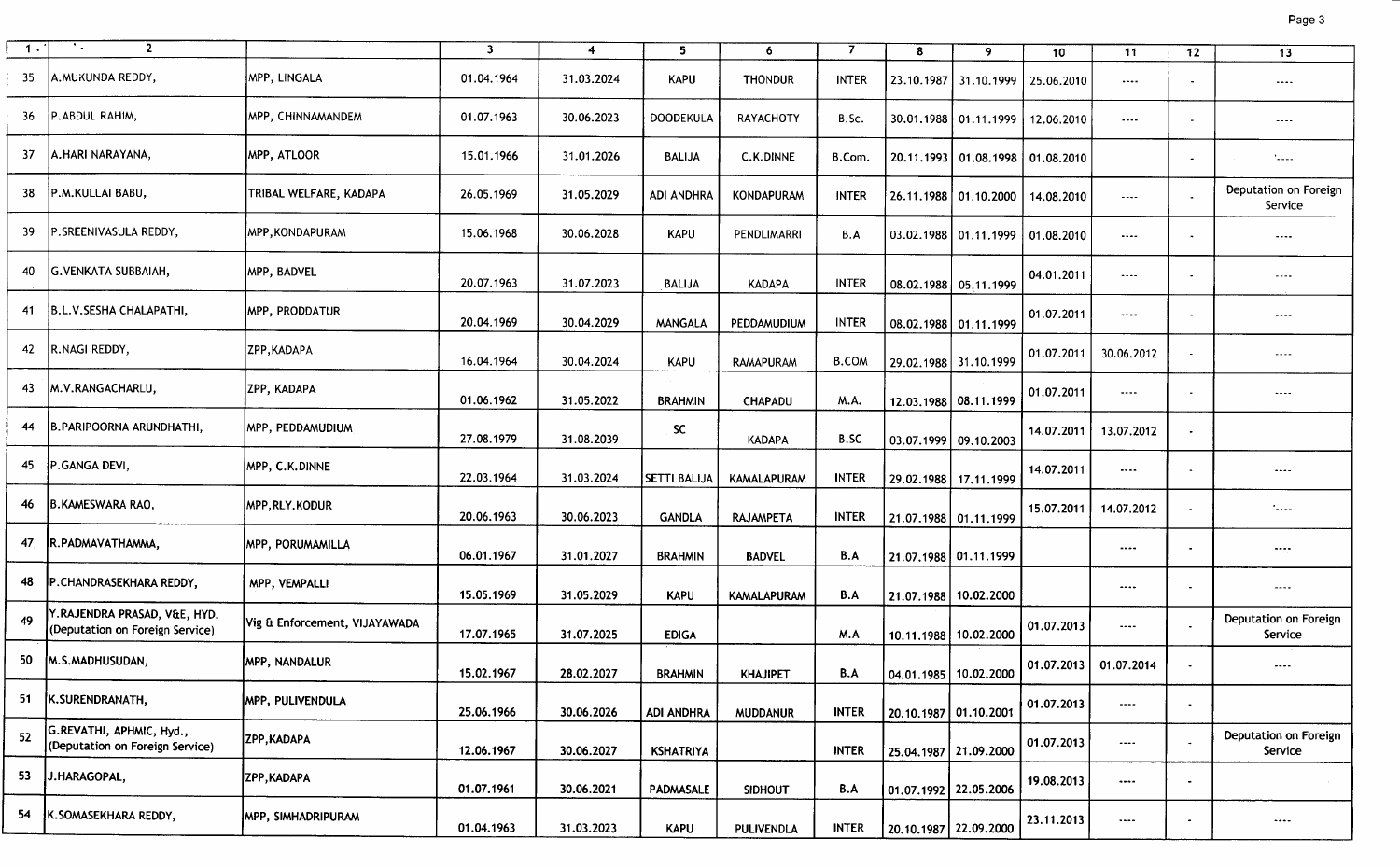| 1.  | ÷.,<br>$\overline{2}$                                           |                               | $\overline{\mathbf{3}}$ |            |                     |                    | 7            |                         |                                  |            |            |                |                                  |
|-----|-----------------------------------------------------------------|-------------------------------|-------------------------|------------|---------------------|--------------------|--------------|-------------------------|----------------------------------|------------|------------|----------------|----------------------------------|
|     |                                                                 |                               |                         | 4          | 5                   | 6                  |              | 8                       | 9                                | 10         | 11         | 12             | 13                               |
| 35  | A.MUKUNDA REDDY,                                                | MPP, LINGALA                  | 01.04.1964              | 31.03.2024 | <b>KAPU</b>         | <b>THONDUR</b>     | <b>INTER</b> |                         | 23.10.1987   31.10.1999          | 25.06.2010 | $\cdots$   |                | $\cdots$                         |
| 36  | P.ABDUL RAHIM,                                                  | MPP, CHINNAMANDEM             | 01.07.1963              | 30.06.2023 | DOODEKULA           | RAYACHOTY          | B.Sc.        |                         | 30.01.1988 01.11.1999            | 12.06.2010 | $\cdots$   |                | $- - - -$                        |
| 37  | A.HARI NARAYANA,                                                | MPP, ATLOOR                   | 15.01.1966              | 31.01.2026 | <b>BALIJA</b>       | C.K.DINNE          | B.Com.       |                         | 20.11.1993 01.08.1998 01.08.2010 |            |            |                | $\mathcal{L}_{\text{max}}$       |
| 38  | P.M.KULLAI BABU,                                                | TRIBAL WELFARE, KADAPA        | 26.05.1969              | 31.05.2029 | <b>ADI ANDHRA</b>   | KONDAPURAM         | <b>INTER</b> |                         | 26.11.1988 01.10.2000            | 14.08.2010 | $\cdots$   | $\blacksquare$ | Deputation on Foreign<br>Service |
| 39. | P. SREENIVASULA REDDY,                                          | MPP.KONDAPURAM                | 15.06.1968              | 30.06.2028 | <b>KAPU</b>         | PENDLIMARRI        | B.A          |                         | 03.02.1988 01.11.1999            | 01.08.2010 | $\cdots$   |                | $\cdots$                         |
|     | G.VENKATA SUBBAIAH,                                             | MPP, BADVEL                   | 20.07.1963              | 31.07.2023 | <b>BALIJA</b>       | <b>KADAPA</b>      | <b>INTER</b> |                         | 08.02.1988 05.11.1999            | 04.01.2011 | $\cdots$   |                | $---$                            |
| 41  | B.L.V.SESHA CHALAPATHI,                                         | <b>MPP, PRODDATUR</b>         | 20.04.1969              | 30.04.2029 | <b>MANGALA</b>      | PEDDAMUDIUM        | <b>INTER</b> |                         | 08.02.1988 01.11.1999            | 01.07.2011 | $\cdots$   |                | $\cdots$                         |
|     | 42 R.NAGI REDDY,                                                | ZPP, KADAPA                   | 16.04.1964              | 30.04.2024 | <b>KAPU</b>         | RAMAPURAM          | <b>B.COM</b> |                         | 29.02.1988 31.10.1999            | 01.07.2011 | 30.06.2012 |                | $- - - -$                        |
| 43  | M.V.RANGACHARLU,                                                | IZPP. KADAPA                  | 01.06.1962              | 31.05.2022 | <b>BRAHMIN</b>      | <b>CHAPADU</b>     | M.A.         |                         | 12.03.1988 08.11.1999            | 01.07.2011 | $\cdots$   |                | $\sim$ $\sim$ $\sim$ $\sim$      |
| 44  | B.PARIPOORNA ARUNDHATHI.                                        | IMPP, PEDDAMUDIUM             | 27.08.1979              | 31.08.2039 | SC.                 | <b>KADAPA</b>      | <b>B.SC</b>  | 03.07.1999 09.10.2003   |                                  | 14.07.2011 | 13.07.2012 |                |                                  |
| 45  | P.GANGA DEVI,                                                   | MPP, C.K.DINNE                | 22.03.1964              | 31.03.2024 | <b>SETTI BALIJA</b> | KAMALAPURAM        | <b>INTER</b> |                         | 29.02.1988 17.11.1999            | 14.07.2011 | $\cdots$   | $\bullet$      |                                  |
| 46  | B.KAMESWARA RAO,                                                | MPP,RLY.KODUR                 | 20.06.1963              | 30.06.2023 | <b>GANDLA</b>       | <b>RAJAMPETA</b>   | <b>INTER</b> |                         | 21.07.1988 01.11.1999            | 15.07.2011 | 14.07.2012 |                | .<br>                            |
| -47 | IR.PADMAVATHAMMA,                                               | MPP, PORUMAMILLA              | 06.01.1967              | 31.01.2027 | <b>BRAHMIN</b>      | <b>BADVEL</b>      | B.A          | 21.07.1988 01.11.1999   |                                  |            | $\cdots$   | $\blacksquare$ | $\cdots$                         |
| 48  | P.CHANDRASEKHARA REDDY,                                         | MPP, VEMPALLI                 | 15.05.1969              | 31.05.2029 | <b>KAPU</b>         | <b>KAMALAPURAM</b> | B.A          | 21.07.1988 10.02.2000   |                                  |            | $\cdots$   | $\blacksquare$ | $- - - -$                        |
| 49  | Y.RAJENDRA PRASAD, V&E, HYD.<br>(Deputation on Foreign Service) | Vig & Enforcement, VIJAYAWADA | 17.07.1965              | 31.07.2025 | <b>EDIGA</b>        |                    | M.A          | 10.11.1988 10.02.2000   |                                  | 01.07.2013 | $\cdots$   |                | Deputation on Foreign<br>Service |
| 50  | M.S.MADHUSUDAN,                                                 | <b>MPP, NANDALUR</b>          | 15.02.1967              | 28.02.2027 | <b>BRAHMIN</b>      | <b>KHAJIPET</b>    | B.A          | 04.01.1985   10.02.2000 |                                  | 01.07.2013 | 01.07.2014 | $\blacksquare$ | $\cdots$                         |
| 51  | K.SURENDRANATH,                                                 | <b>MPP, PULIVENDULA</b>       | 25.06.1966              | 30.06.2026 | <b>ADI ANDHRA</b>   | <b>MUDDANUR</b>    | <b>INTER</b> | 20.10.1987 01.10.2001   |                                  | 01.07.2013 | $\cdots$   |                |                                  |
| 52  | G.REVATHI, APHMIC, Hyd.,<br>(Deputation on Foreign Service)     | ZPP, KADAPA                   | 12.06.1967              | 30.06.2027 | <b>KSHATRIYA</b>    |                    | <b>INTER</b> | 25.04.1987 21.09.2000   |                                  | 01.07.2013 | ----       |                | Deputation on Foreign<br>Service |
| 53  | J.HARAGOPAL,                                                    | ZPP, KADAPA                   | 01.07.1961              | 30.06.2021 | PADMASALE           | <b>SIDHOUT</b>     | B.A          | 01.07.1992 22.05.2006   |                                  | 19.08.2013 |            |                |                                  |
| 54  | K.SOMASEKHARA REDDY,                                            | MPP, SIMHADRIPURAM            | 01.04.1963              | 31.03.2023 | <b>KAPU</b>         | PULIVENDLA         | <b>INTER</b> | 20.10.1987 22.09.2000   |                                  | 23.11.2013 | $\cdots$   |                | $\cdots$                         |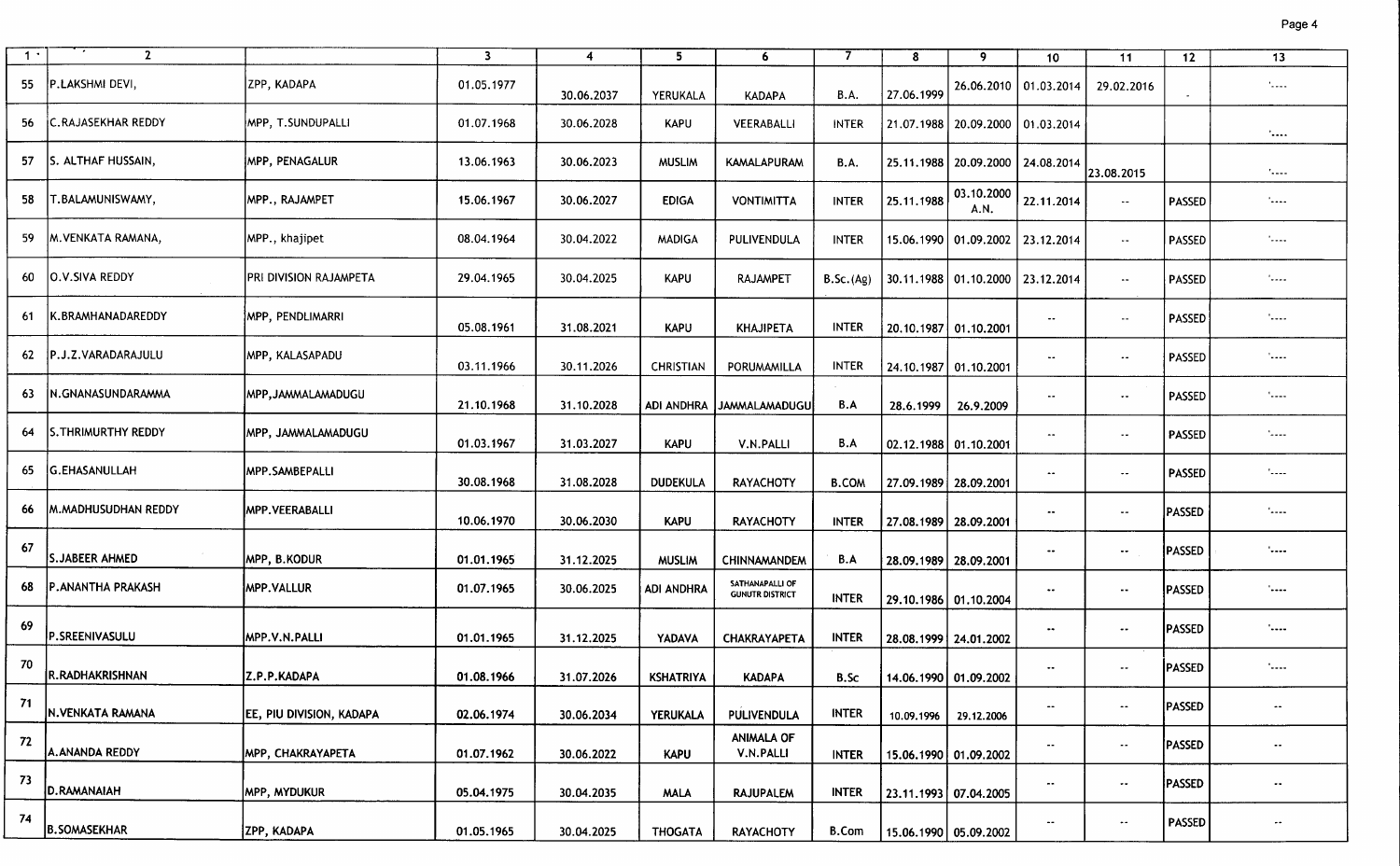| 1 <sup>1</sup> | $\mathbf{2}$              |                                  | $\overline{\mathbf{3}}$ | $\overline{4}$ | $5\overline{)}$  | 6                                         | 7            | 8                       |                                      |                      |                    |               | $\overline{13}$            |
|----------------|---------------------------|----------------------------------|-------------------------|----------------|------------------|-------------------------------------------|--------------|-------------------------|--------------------------------------|----------------------|--------------------|---------------|----------------------------|
|                |                           |                                  |                         |                |                  |                                           |              |                         | 9                                    | 10 <sub>1</sub>      | 11                 | 12            |                            |
| 55             | P.LAKSHMI DEVI,           | ZPP, KADAPA                      | 01.05.1977              | 30.06.2037     | YERUKALA         | <b>KADAPA</b>                             | <b>B.A.</b>  | 27.06.1999              | 26.06.2010   01.03.2014              |                      | 29.02.2016         |               | $\sim$                     |
| 56             | <b>C.RAJASEKHAR REDDY</b> | MPP, T.SUNDUPALLI                | 01.07.1968              | 30.06.2028     | <b>KAPU</b>      | VEERABALLI                                | <b>INTER</b> | 21.07.1988              | 20.09.2000   01.03.2014              |                      |                    |               | <b>Sand</b>                |
| 57             | S. ALTHAF HUSSAIN,        | <b>MPP, PENAGALUR</b>            | 13.06.1963              | 30.06.2023     | <b>MUSLIM</b>    | <b>KAMALAPURAM</b>                        | <b>B.A.</b>  |                         | 25.11.1988   20.09.2000   24.08.2014 |                      | 23.08.2015         |               | Normal.                    |
| 58             | IT.BALAMUNISWAMY.         | <b>MPP., RAJAMPET</b>            | 15.06.1967              | 30.06.2027     | <b>EDIGA</b>     | <b>VONTIMITTA</b>                         | <b>INTER</b> | 25.11.1988              | 03.10.2000<br>A.N.                   | 22.11.2014           | $\sim$             | <b>PASSED</b> | <b>Lease</b>               |
| -59            | <b>M. VENKATA RAMANA,</b> | MPP., khajipet                   | 08.04.1964              | 30.04.2022     | <b>MADIGA</b>    | PULIVENDULA                               | <b>INTER</b> |                         | 15.06.1990   01.09.2002              | 23.12.2014           | $\sim$ $\sim$      | PASSED        | $\mathcal{L}_{\text{max}}$ |
| 60             | <b>O.V.SIVA REDDY</b>     | PRI DIVISION RAJAMPETA           | 29.04.1965              | 30.04.2025     | <b>KAPU</b>      | RAJAMPET                                  | B.Sc.(Ag)    |                         | 30.11.1988 01.10.2000                | 23.12.2014           | $\sim$             | <b>PASSED</b> | '----                      |
| -61            | <b>K.BRAMHANADAREDDY</b>  | MPP, PENDLIMARRI)                | 05.08.1961              | 31.08.2021     | <b>KAPU</b>      | <b>KHAJIPETA</b>                          | <b>INTER</b> | 20.10.1987 01.10.2001   |                                      | $\bullet\bullet$     | $\sim$ $\sim$      | PASSED        | الممتلأ                    |
| -62            | IP.J.Z.VARADARAJULU       | MPP, KALASAPADU                  | 03.11.1966              | 30.11.2026     | <b>CHRISTIAN</b> | PORUMAMILLA                               | <b>INTER</b> | 24.10.1987 01.10.2001   |                                      | $\sim$ $\sim$        | $\sim$ $-$         | PASSED        | '----                      |
| -63            | IN.GNANASUNDARAMMA        | MPP, JAMMALAMADUGU               | 21.10.1968              | 31.10.2028     |                  | ADI ANDHRA JJAMMALAMADUGU                 | B.A          | 28.6.1999               | 26.9.2009                            | $\sim$ $\sim$        | $\sim$             | PASSED        | <b>Land</b>                |
| 64             | <b>S.THRIMURTHY REDDY</b> | MPP, JAMMALAMADUGU               | 01.03.1967              | 31.03.2027     | <b>KAPU</b>      | V.N.PALLI                                 | B.A          | 02.12.1988 01.10.2001   |                                      | $\bullet\bullet$     | $\sim$             | <b>PASSED</b> | الممما                     |
| 65             | <b>G.EHASANULLAH</b>      | MPP.SAMBEPALLI                   | 30.08.1968              | 31.08.2028     | <b>DUDEKULA</b>  | <b>RAYACHOTY</b>                          | <b>B.COM</b> | 27.09.1989   28.09.2001 |                                      | $\bullet\bullet$     | $\bullet\,\bullet$ | <b>PASSED</b> | 12222                      |
| 66             | IM.MADHUSUDHAN REDDY      | MPP.VEERABALLI                   | 10.06.1970              | 30.06.2030     | <b>KAPU</b>      | <b>RAYACHOTY</b>                          | <b>INTER</b> | 27.08.1989 28.09.2001   |                                      | $\bullet\bullet$     | $\sim$ $\sim$      | <b>PASSED</b> | -----'                     |
| 67             | S.JABEER AHMED            | MPP, B.KODUR                     | 01.01.1965              | 31.12.2025     | <b>MUSLIM</b>    | <b>CHINNAMANDEM</b>                       | B.A          | 28.09.1989 28.09.2001   |                                      | ٠.                   | $\sim$             | <b>PASSED</b> | '----                      |
| 68             | <b>P.ANANTHA PRAKASH</b>  | <b>MPP.VALLUR</b>                | 01.07.1965              | 30.06.2025     | ADI ANDHRA       | SATHANAPALLI OF<br><b>GUNUTR DISTRICT</b> | <b>INTER</b> | 29.10.1986   01.10.2004 |                                      | $\bullet\,\bullet$   | $\sim$             | <b>PASSED</b> | '----                      |
| -69            | P.SREENIVASULU            | MPP.V.N.PALLI                    | 01.01.1965              | 31.12.2025     | YADAVA           | <b>CHAKRAYAPETA</b>                       | <b>INTER</b> | 28.08.1999 24.01.2002   |                                      | $\bullet\bullet$     | $\sim$             | PASSED        | <b>'----</b>               |
| - 70           | R.RADHAKRISHNAN           | Z.P.P.KADAPA                     | 01.08.1966              | 31.07.2026     | <b>KSHATRIYA</b> | <b>KADAPA</b>                             | B.Sc         | 14.06.1990   01.09.2002 |                                      | $\bullet\bullet$     | $\bullet\bullet$   | <b>PASSED</b> | '----                      |
| 71             | N.VENKATA RAMANA          | <b>JEE, PIU DIVISION, KADAPA</b> | 02.06.1974              | 30.06.2034     | <b>YERUKALA</b>  | PULIVENDULA                               | <b>INTER</b> | 10.09.1996              | 29.12.2006                           | $\bullet\bullet$     | $\bullet\bullet$   | PASSED        | $\bullet\bullet$           |
| 72             | A.ANANDA REDDY            | <b>MPP, CHAKRAYAPETA</b>         | 01.07.1962              | 30.06.2022     | <b>KAPU</b>      | <b>ANIMALA OF</b><br>V.N.PALLI            | <b>INTER</b> | 15.06.1990 01.09.2002   |                                      | $\sim$               | $\sim$             | PASSED        | $\bullet\bullet$           |
| -73            | D.RAMANAIAH               | <b>MPP, MYDUKUR</b>              | 05.04.1975              | 30.04.2035     | <b>MALA</b>      | <b>RAJUPALEM</b>                          | <b>INTER</b> | 23.11.1993 07.04.2005   |                                      | $\scriptstyle\cdots$ | $\bullet\bullet$   | PASSED        | $\sim$ $\sim$              |
| -74            | <b>B.SOMASEKHAR</b>       | ZPP, KADAPA                      | 01.05.1965              | 30.04.2025     | <b>THOGATA</b>   | <b>RAYACHOTY</b>                          | <b>B.Com</b> | 15.06.1990 05.09.2002   |                                      | $\sim$               | $\bullet\bullet$   | <b>PASSED</b> | $\bullet\bullet$           |